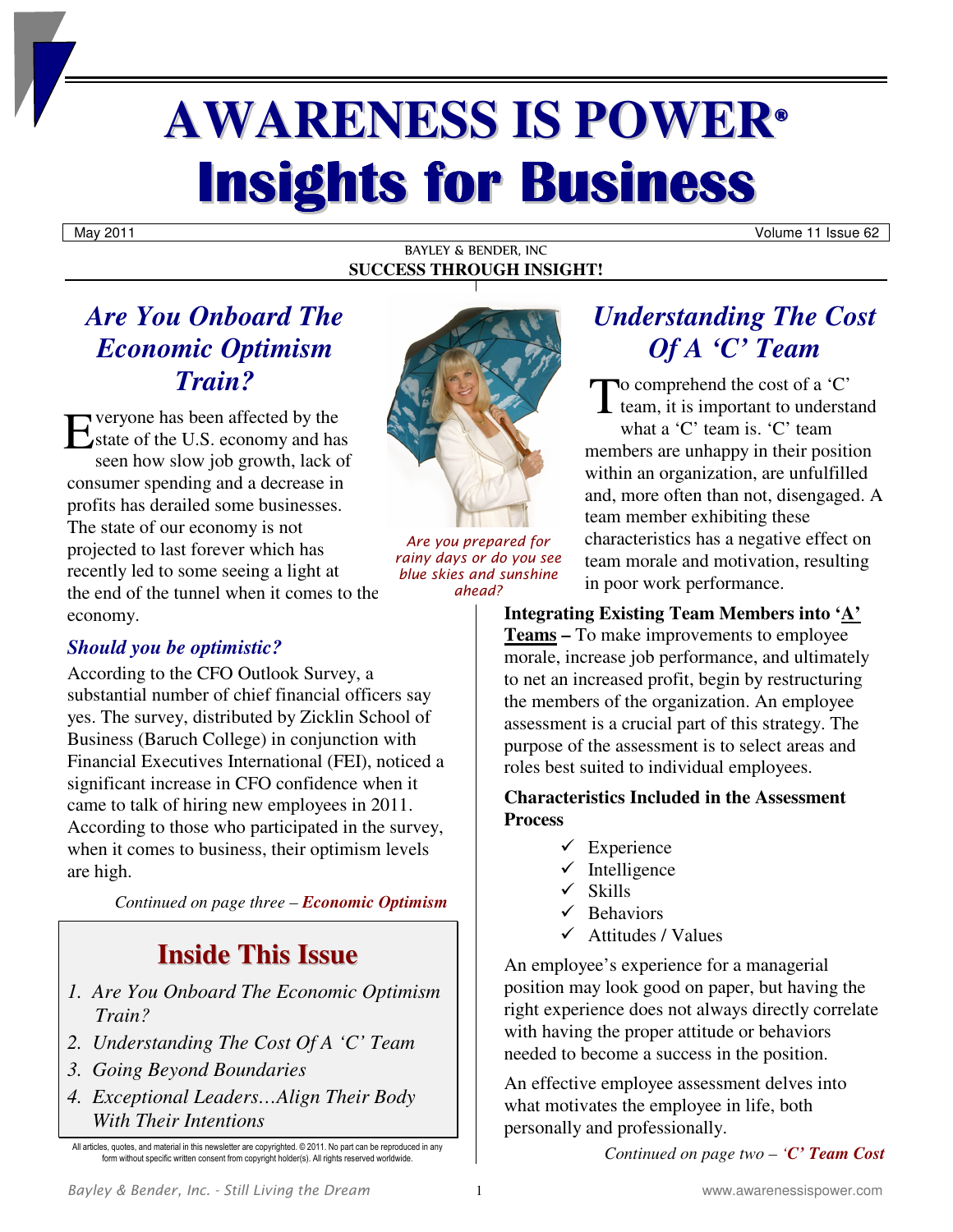# **AWARENESS IS POWER® Insights for Business**

May 2011 Volume 11 Issue 62

#### BAYLEY & BENDER, INC **SUCCESS THROUGH INSIGHT!**

# *Are You Onboard The Economic Optimism Train?*

Exeryone has been affected by the<br>
Estate of the U.S. economy and has state of the U.S. economy and has seen how slow job growth, lack of consumer spending and a decrease in profits has derailed some businesses. The state of our economy is not projected to last forever which has recently led to some seeing a light at the end of the tunnel when it comes to the economy.

## *Should you be optimistic?*

According to the CFO Outlook Survey, a substantial number of chief financial officers say yes. The survey, distributed by Zicklin School of Business (Baruch College) in conjunction with Financial Executives International (FEI), noticed a significant increase in CFO confidence when it came to talk of hiring new employees in 2011. According to those who participated in the survey, when it comes to business, their optimism levels are high.

*Continued on page three – Economic Optimism*

# **Inside This Issue**

- *1. Are You Onboard The Economic Optimism Train?*
- *2. Understanding The Cost Of A 'C' Team*
- *3. Going Beyond Boundaries*
- *4. Exceptional Leaders…Align Their Body With Their Intentions*



*Are you prepared for rainy days or do you see blue skies and sunshine ahead?* 

# *Understanding The Cost Of A 'C' Team*

To comprehend the cost of a 'C' team, it is important to understa team, it is important to understand what a 'C' team is. 'C' team members are unhappy in their position within an organization, are unfulfilled and, more often than not, disengaged. A team member exhibiting these characteristics has a negative effect on team morale and motivation, resulting in poor work performance.

**Integrating Existing Team Members into 'A' Teams –** To make improvements to employee morale, increase job performance, and ultimately to net an increased profit, begin by restructuring the members of the organization. An employee assessment is a crucial part of this strategy. The purpose of the assessment is to select areas and roles best suited to individual employees.

#### **Characteristics Included in the Assessment Process**

- $\checkmark$  Experience
- $\checkmark$  Intelligence
- $\checkmark$  Skills
- $\checkmark$  Behaviors
- $\checkmark$  Attitudes / Values

An employee's experience for a managerial position may look good on paper, but having the right experience does not always directly correlate with having the proper attitude or behaviors needed to become a success in the position.

An effective employee assessment delves into what motivates the employee in life, both personally and professionally.

*Continued on page two – 'C' Team Cost*

All articles, quotes, and material in this newsletter are copyrighted. © 2011. No part can be reproduced in any form without specific written consent from copyright holder(s). All rights reserved worldwide.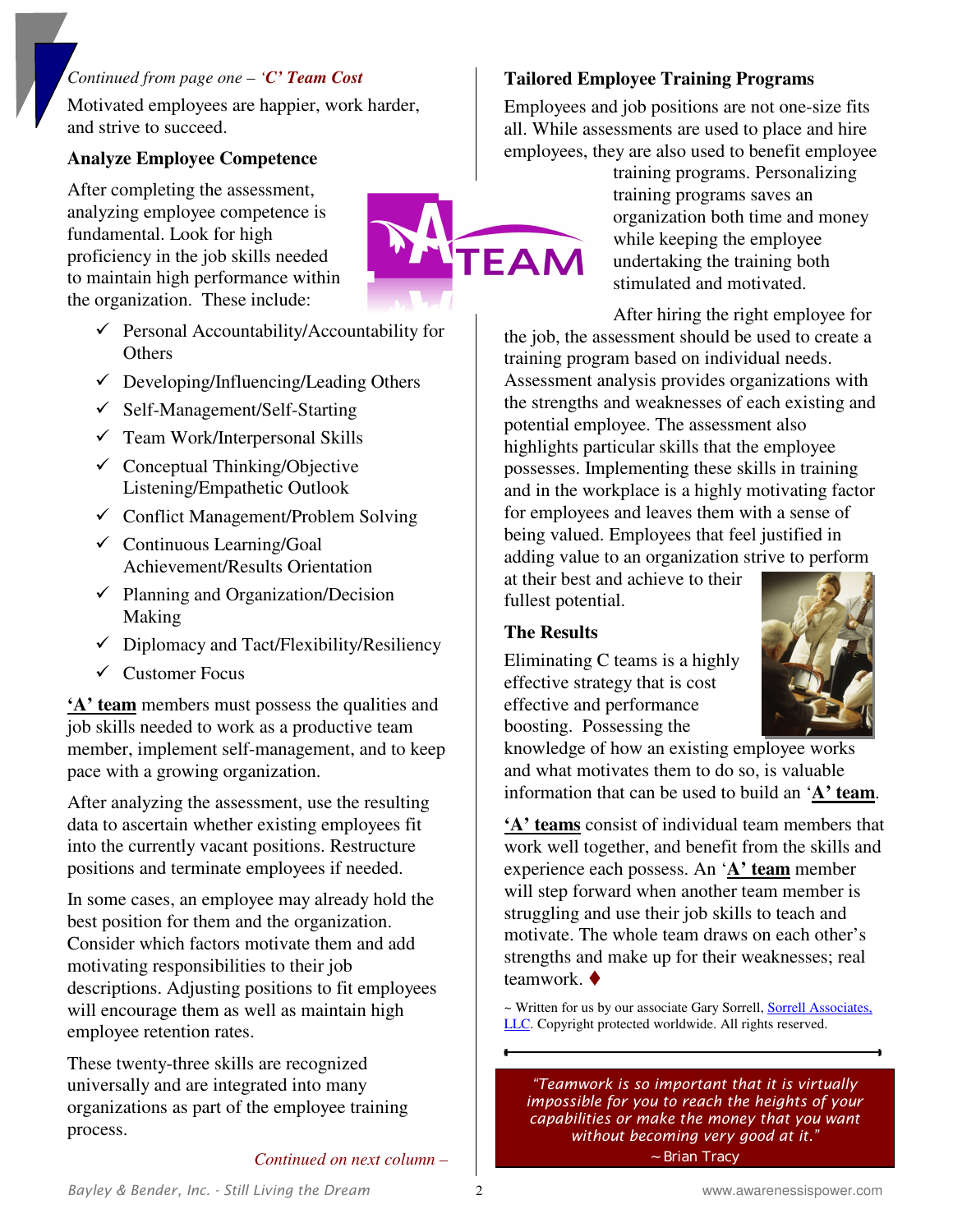#### *Continued from page one – 'C' Team Cost*

Motivated employees are happier, work harder, and strive to succeed.

 $\checkmark$  Personal Accountability/Accountability for

 $\checkmark$  Developing/Influencing/Leading Others

 $\checkmark$  Conflict Management/Problem Solving

Achievement/Results Orientation  $\checkmark$  Planning and Organization/Decision

 $\checkmark$  Diplomacy and Tact/Flexibility/Resiliency

**'A' team** members must possess the qualities and job skills needed to work as a productive team member, implement self-management, and to keep

After analyzing the assessment, use the resulting data to ascertain whether existing employees fit into the currently vacant positions. Restructure positions and terminate employees if needed.

In some cases, an employee may already hold the

descriptions. Adjusting positions to fit employees will encourage them as well as maintain high

best position for them and the organization. Consider which factors motivate them and add

motivating responsibilities to their job

These twenty-three skills are recognized universally and are integrated into many organizations as part of the employee training

employee retention rates.

process.

 $\checkmark$  Self-Management/Self-Starting  $\checkmark$  Team Work/Interpersonal Skills  $\checkmark$  Conceptual Thinking/Objective Listening/Empathetic Outlook

 $\checkmark$  Continuous Learning/Goal

#### **Analyze Employee Competence**

After completing the assessment, analyzing employee competence is fundamental. Look for high proficiency in the job skills needed to maintain high performance within the organization. These include:

**Others** 

Making

 $\checkmark$  Customer Focus

pace with a growing organization.



#### **Tailored Employee Training Programs**

Employees and job positions are not one-size fits all. While assessments are used to place and hire employees, they are also used to benefit employee

training programs. Personalizing training programs saves an organization both time and money while keeping the employee undertaking the training both stimulated and motivated.

After hiring the right employee for the job, the assessment should be used to create a training program based on individual needs. Assessment analysis provides organizations with the strengths and weaknesses of each existing and potential employee. The assessment also highlights particular skills that the employee possesses. Implementing these skills in training and in the workplace is a highly motivating factor for employees and leaves them with a sense of being valued. Employees that feel justified in adding value to an organization strive to perform

at their best and achieve to their fullest potential.

#### **The Results**

Eliminating C teams is a highly effective strategy that is cost effective and performance boosting. Possessing the



knowledge of how an existing employee works and what motivates them to do so, is valuable information that can be used to build an '**A' team**.

**'A' teams** consist of individual team members that work well together, and benefit from the skills and experience each possess. An '**A' team** member will step forward when another team member is struggling and use their job skills to teach and motivate. The whole team draws on each other's strengths and make up for their weaknesses; real teamwork. $\bullet$ 

~ Written for us by our associate Gary Sorrell, Sorrell Associates, LLC. Copyright protected worldwide. All rights reserved.

*"Teamwork is so important that it is virtually impossible for you to reach the heights of your capabilities or make the money that you want without becoming very good at it." ~ Brian Tracy* 

*Continued on next column –*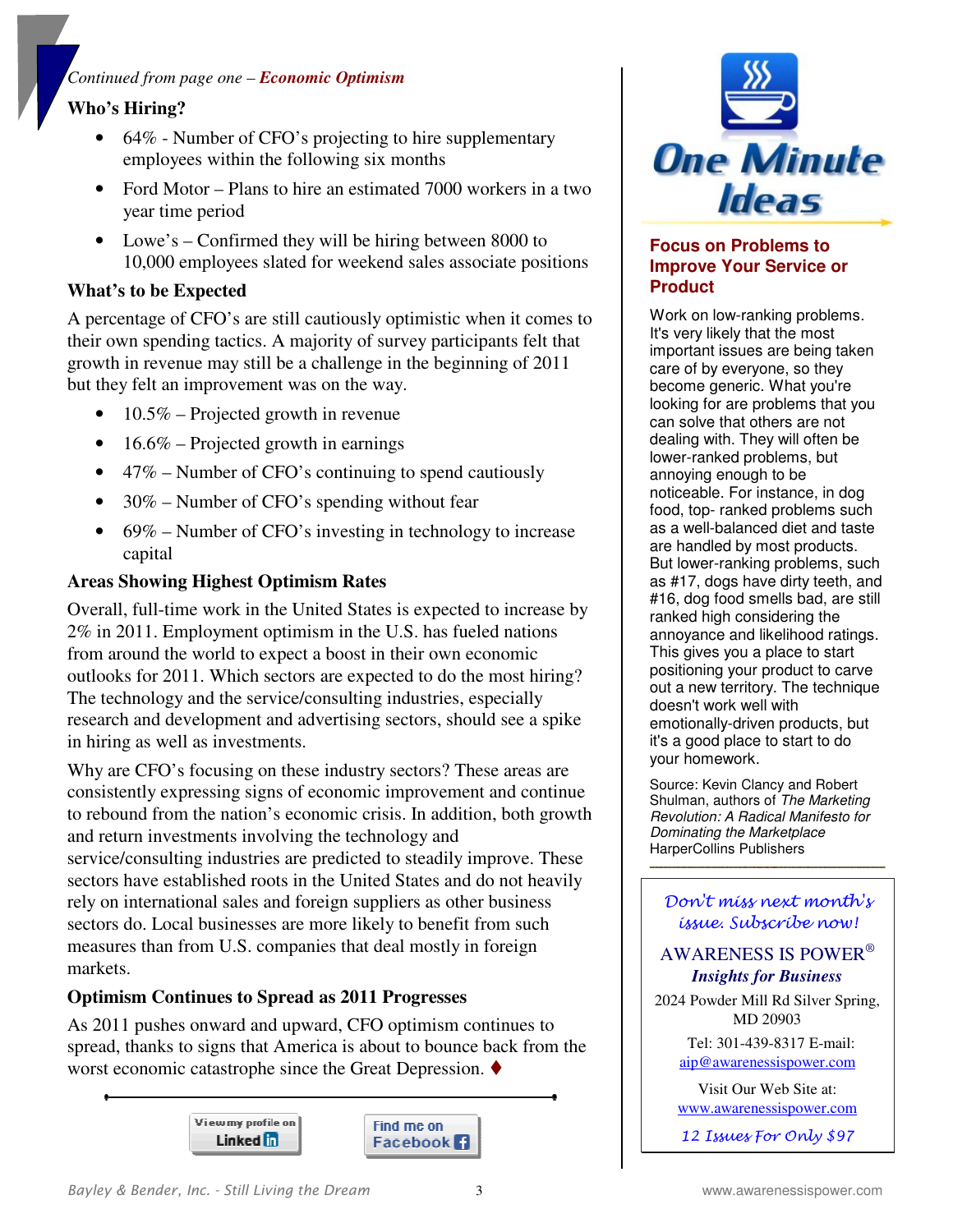## *Continued from page one – Economic Optimism*

## **Who's Hiring?**

- 64% Number of CFO's projecting to hire supplementary employees within the following six months
- Ford Motor Plans to hire an estimated 7000 workers in a two year time period
- Lowe's Confirmed they will be hiring between 8000 to 10,000 employees slated for weekend sales associate positions

## **What's to be Expected**

A percentage of CFO's are still cautiously optimistic when it comes to their own spending tactics. A majority of survey participants felt that growth in revenue may still be a challenge in the beginning of 2011 but they felt an improvement was on the way.

- $10.5\%$  Projected growth in revenue
- 16.6% Projected growth in earnings
- 47% Number of CFO's continuing to spend cautiously
- 30% Number of CFO's spending without fear
- 69% Number of CFO's investing in technology to increase capital

#### **Areas Showing Highest Optimism Rates**

Overall, full-time work in the United States is expected to increase by 2% in 2011. Employment optimism in the U.S. has fueled nations from around the world to expect a boost in their own economic outlooks for 2011. Which sectors are expected to do the most hiring? The technology and the service/consulting industries, especially research and development and advertising sectors, should see a spike in hiring as well as investments.

Why are CFO's focusing on these industry sectors? These areas are consistently expressing signs of economic improvement and continue to rebound from the nation's economic crisis. In addition, both growth and return investments involving the technology and service/consulting industries are predicted to steadily improve. These sectors have established roots in the United States and do not heavily rely on international sales and foreign suppliers as other business sectors do. Local businesses are more likely to benefit from such measures than from U.S. companies that deal mostly in foreign markets.

#### **Optimism Continues to Spread as 2011 Progresses**

As 2011 pushes onward and upward, CFO optimism continues to spread, thanks to signs that America is about to bounce back from the worst economic catastrophe since the Great Depression.  $\blacklozenge$ 





#### **Focus on Problems to Improve Your Service or Product**

Work on low-ranking problems. It's very likely that the most important issues are being taken care of by everyone, so they become generic. What you're looking for are problems that you can solve that others are not dealing with. They will often be lower-ranked problems, but annoying enough to be noticeable. For instance, in dog food, top- ranked problems such as a well-balanced diet and taste are handled by most products. But lower-ranking problems, such as #17, dogs have dirty teeth, and #16, dog food smells bad, are still ranked high considering the annoyance and likelihood ratings. This gives you a place to start positioning your product to carve out a new territory. The technique doesn't work well with emotionally-driven products, but it's a good place to start to do your homework.

Source: Kevin Clancy and Robert Shulman, authors of The Marketing Revolution: A Radical Manifesto for Dominating the Marketplace HarperCollins Publishers

#### Don't miss next month's issue. Subscribe now!

## AWARENESS IS POWER®  *Insights for Business*

2024 Powder Mill Rd Silver Spring, MD 20903

> Tel: 301-439-8317 E-mail: aip@awarenessispower.com

Visit Our Web Site at: www.awarenessispower.com

12 Issues For Only \$97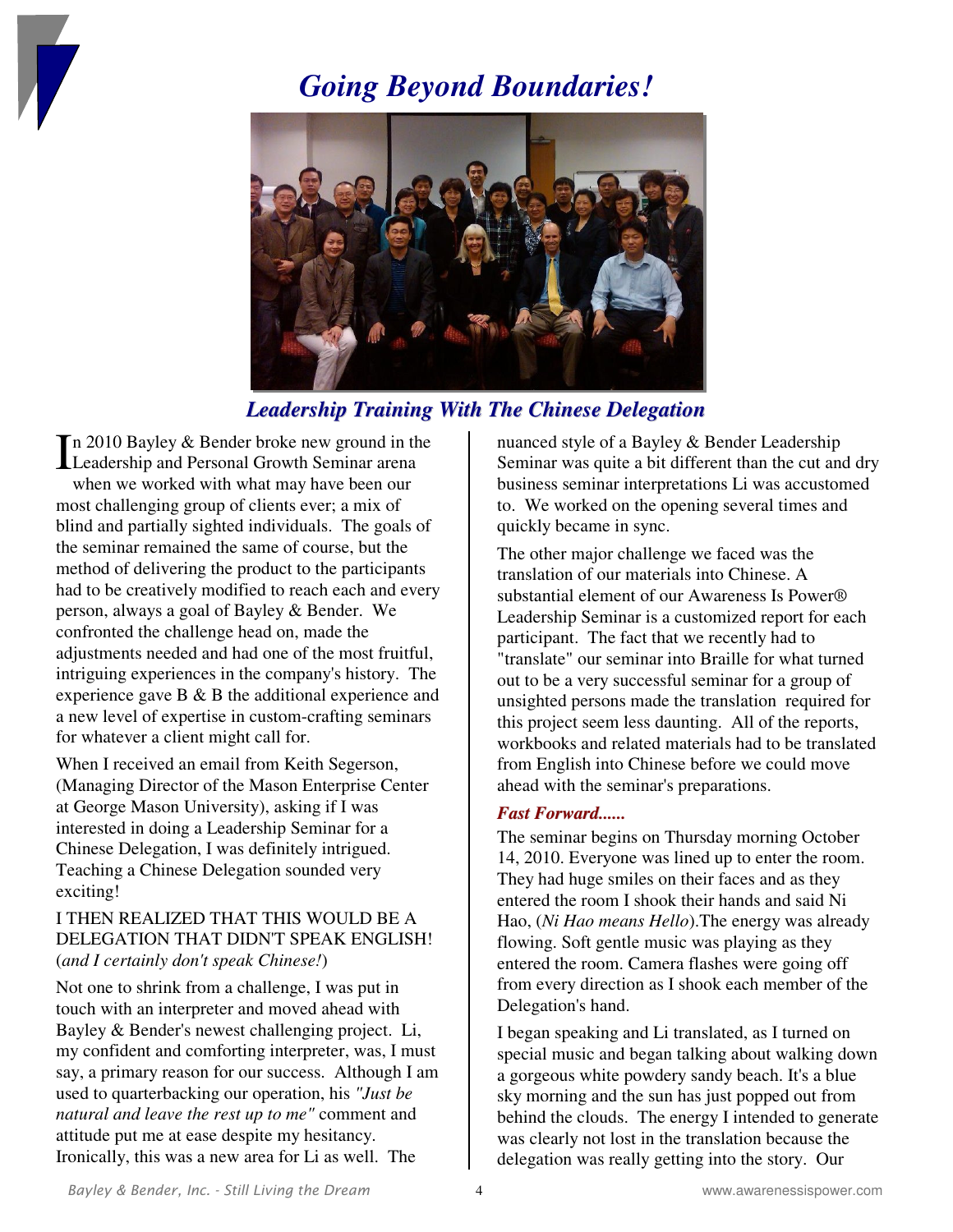

# *Going Beyond Boundaries!*



*Leadership Training With The Chinese Delegation*

n 2010 Bayley & Bender broke new ground in the In 2010 Bayley & Bender broke new ground in the Leadership and Personal Growth Seminar arena when we worked with what may have been our most challenging group of clients ever; a mix of blind and partially sighted individuals. The goals of the seminar remained the same of course, but the method of delivering the product to the participants had to be creatively modified to reach each and every person, always a goal of Bayley & Bender. We confronted the challenge head on, made the adjustments needed and had one of the most fruitful, intriguing experiences in the company's history. The experience gave B & B the additional experience and a new level of expertise in custom-crafting seminars for whatever a client might call for.

When I received an email from Keith Segerson, (Managing Director of the Mason Enterprise Center at George Mason University), asking if I was interested in doing a Leadership Seminar for a Chinese Delegation, I was definitely intrigued. Teaching a Chinese Delegation sounded very exciting!

## I THEN REALIZED THAT THIS WOULD BE A DELEGATION THAT DIDN'T SPEAK ENGLISH! (*and I certainly don't speak Chinese!*)

Not one to shrink from a challenge, I was put in touch with an interpreter and moved ahead with Bayley & Bender's newest challenging project. Li, my confident and comforting interpreter, was, I must say, a primary reason for our success. Although I am used to quarterbacking our operation, his *"Just be natural and leave the rest up to me"* comment and attitude put me at ease despite my hesitancy. Ironically, this was a new area for Li as well. The

nuanced style of a Bayley & Bender Leadership Seminar was quite a bit different than the cut and dry business seminar interpretations Li was accustomed to. We worked on the opening several times and quickly became in sync.

The other major challenge we faced was the translation of our materials into Chinese. A substantial element of our Awareness Is Power® Leadership Seminar is a customized report for each participant. The fact that we recently had to "translate" our seminar into Braille for what turned out to be a very successful seminar for a group of unsighted persons made the translation required for this project seem less daunting. All of the reports, workbooks and related materials had to be translated from English into Chinese before we could move ahead with the seminar's preparations.

#### *Fast Forward......*

The seminar begins on Thursday morning October 14, 2010. Everyone was lined up to enter the room. They had huge smiles on their faces and as they entered the room I shook their hands and said Ni Hao, (*Ni Hao means Hello*).The energy was already flowing. Soft gentle music was playing as they entered the room. Camera flashes were going off from every direction as I shook each member of the Delegation's hand.

I began speaking and Li translated, as I turned on special music and began talking about walking down a gorgeous white powdery sandy beach. It's a blue sky morning and the sun has just popped out from behind the clouds. The energy I intended to generate was clearly not lost in the translation because the delegation was really getting into the story. Our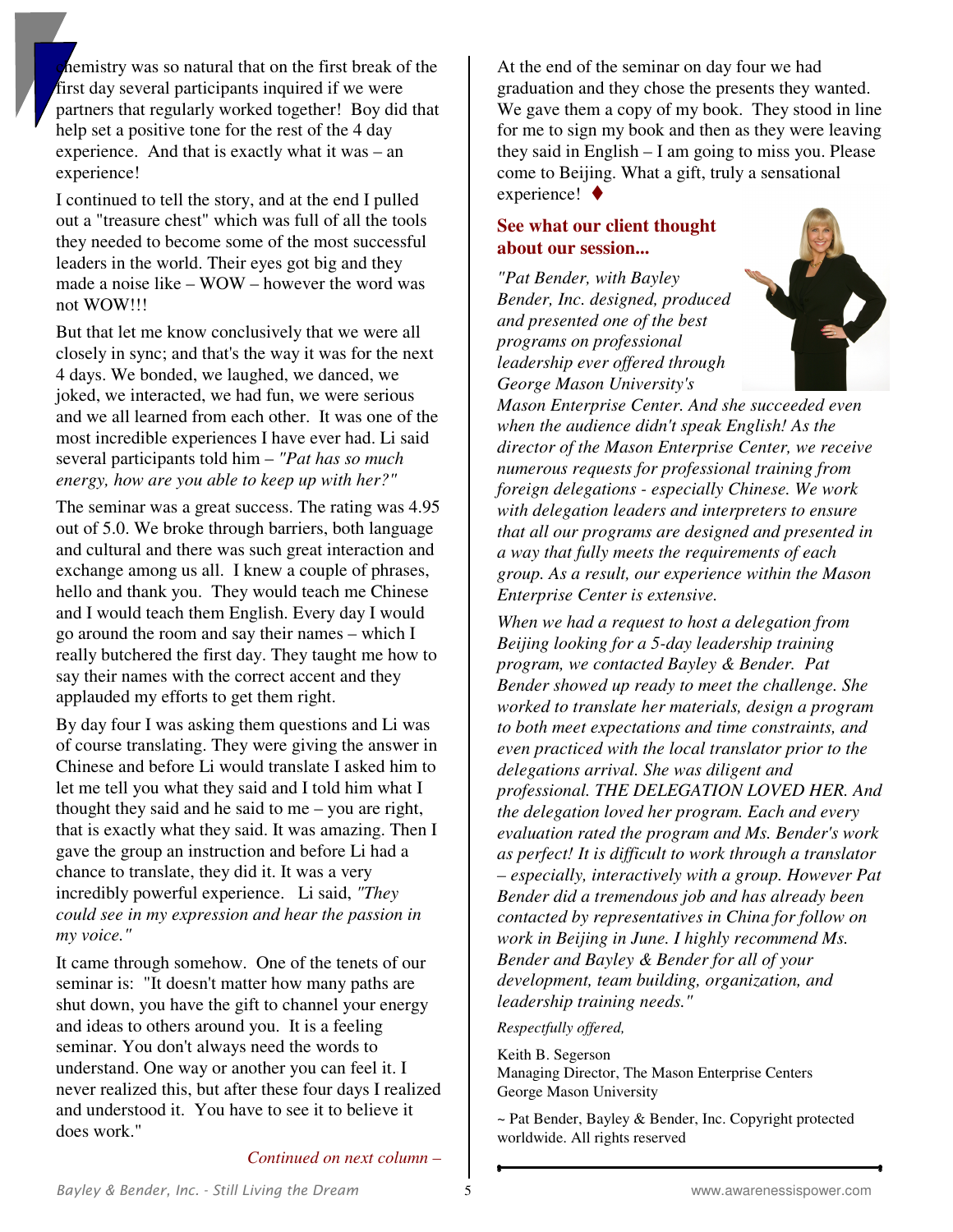hemistry was so natural that on the first break of the first day several participants inquired if we were partners that regularly worked together! Boy did that help set a positive tone for the rest of the 4 day experience. And that is exactly what it was – an experience!

I continued to tell the story, and at the end I pulled out a "treasure chest" which was full of all the tools they needed to become some of the most successful leaders in the world. Their eyes got big and they made a noise like – WOW – however the word was not WOW!!!

But that let me know conclusively that we were all closely in sync; and that's the way it was for the next 4 days. We bonded, we laughed, we danced, we joked, we interacted, we had fun, we were serious and we all learned from each other. It was one of the most incredible experiences I have ever had. Li said several participants told him – *"Pat has so much energy, how are you able to keep up with her?"* 

The seminar was a great success. The rating was 4.95 out of 5.0. We broke through barriers, both language and cultural and there was such great interaction and exchange among us all. I knew a couple of phrases, hello and thank you. They would teach me Chinese and I would teach them English. Every day I would go around the room and say their names – which I really butchered the first day. They taught me how to say their names with the correct accent and they applauded my efforts to get them right.

By day four I was asking them questions and Li was of course translating. They were giving the answer in Chinese and before Li would translate I asked him to let me tell you what they said and I told him what I thought they said and he said to me – you are right, that is exactly what they said. It was amazing. Then I gave the group an instruction and before Li had a chance to translate, they did it. It was a very incredibly powerful experience. Li said, *"They could see in my expression and hear the passion in my voice."* 

It came through somehow. One of the tenets of our seminar is: "It doesn't matter how many paths are shut down, you have the gift to channel your energy and ideas to others around you. It is a feeling seminar. You don't always need the words to understand. One way or another you can feel it. I never realized this, but after these four days I realized and understood it. You have to see it to believe it does work."

At the end of the seminar on day four we had graduation and they chose the presents they wanted. We gave them a copy of my book. They stood in line for me to sign my book and then as they were leaving they said in English – I am going to miss you. Please come to Beijing. What a gift, truly a sensational experience!  $\blacklozenge$ 

## **See what our client thought about our session...**

*"Pat Bender, with Bayley Bender, Inc. designed, produced and presented one of the best programs on professional leadership ever offered through George Mason University's* 



*Mason Enterprise Center. And she succeeded even when the audience didn't speak English! As the director of the Mason Enterprise Center, we receive numerous requests for professional training from foreign delegations - especially Chinese. We work with delegation leaders and interpreters to ensure that all our programs are designed and presented in a way that fully meets the requirements of each group. As a result, our experience within the Mason Enterprise Center is extensive.* 

*When we had a request to host a delegation from Beijing looking for a 5-day leadership training program, we contacted Bayley & Bender. Pat Bender showed up ready to meet the challenge. She worked to translate her materials, design a program to both meet expectations and time constraints, and even practiced with the local translator prior to the delegations arrival. She was diligent and professional. THE DELEGATION LOVED HER. And the delegation loved her program. Each and every evaluation rated the program and Ms. Bender's work as perfect! It is difficult to work through a translator – especially, interactively with a group. However Pat Bender did a tremendous job and has already been contacted by representatives in China for follow on work in Beijing in June. I highly recommend Ms. Bender and Bayley & Bender for all of your development, team building, organization, and leadership training needs."* 

*Respectfully offered,* 

Keith B. Segerson Managing Director, The Mason Enterprise Centers George Mason University

~ Pat Bender, Bayley & Bender, Inc. Copyright protected worldwide. All rights reserved

*Continued on next column –*